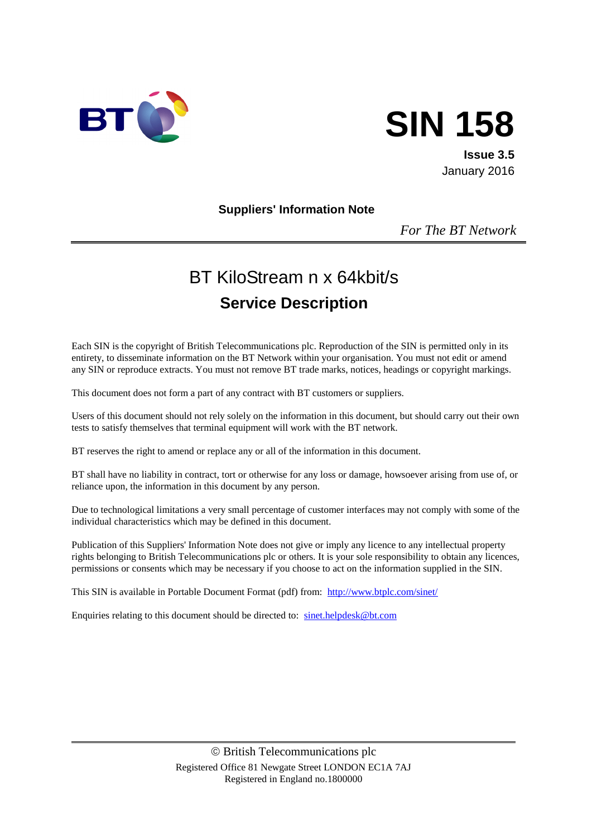

# **SIN 158**

**Issue 3.5** January 2016

#### **Suppliers' Information Note**

*For The BT Network*

# BT KiloStream n x 64kbit/s **Service Description**

Each SIN is the copyright of British Telecommunications plc. Reproduction of the SIN is permitted only in its entirety, to disseminate information on the BT Network within your organisation. You must not edit or amend any SIN or reproduce extracts. You must not remove BT trade marks, notices, headings or copyright markings.

This document does not form a part of any contract with BT customers or suppliers.

Users of this document should not rely solely on the information in this document, but should carry out their own tests to satisfy themselves that terminal equipment will work with the BT network.

BT reserves the right to amend or replace any or all of the information in this document.

BT shall have no liability in contract, tort or otherwise for any loss or damage, howsoever arising from use of, or reliance upon, the information in this document by any person.

Due to technological limitations a very small percentage of customer interfaces may not comply with some of the individual characteristics which may be defined in this document.

Publication of this Suppliers' Information Note does not give or imply any licence to any intellectual property rights belonging to British Telecommunications plc or others. It is your sole responsibility to obtain any licences, permissions or consents which may be necessary if you choose to act on the information supplied in the SIN.

This SIN is available in Portable Document Format (pdf) from: <http://www.btplc.com/sinet/>

Enquiries relating to this document should be directed to: [sinet.helpdesk@bt.com](mailto:sinet.helpdesk@bt.com)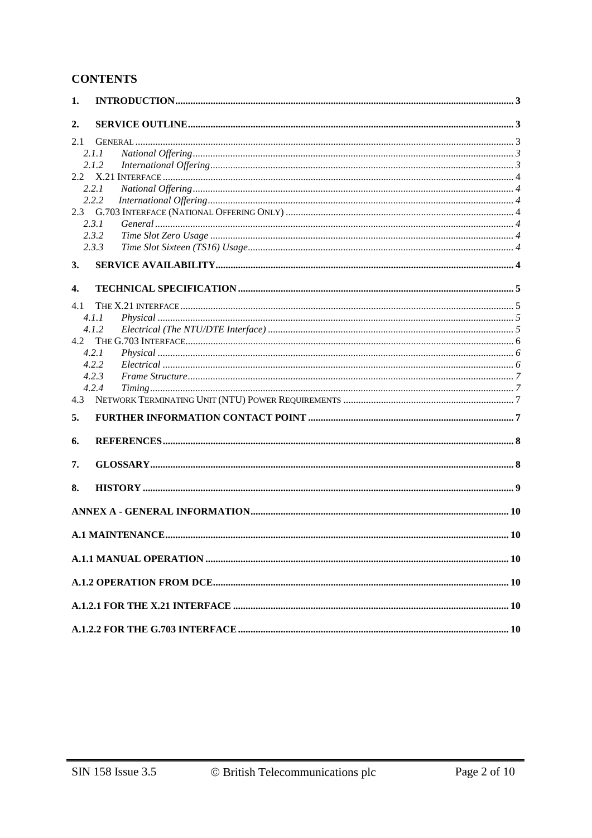# **CONTENTS**

| 1.  |       |  |
|-----|-------|--|
| 2.  |       |  |
| 2.1 |       |  |
|     | 2.1.1 |  |
|     | 2.1.2 |  |
|     |       |  |
|     | 2.2.1 |  |
|     | 2.2.2 |  |
|     |       |  |
|     | 2.3.1 |  |
|     | 2.3.2 |  |
|     | 2.3.3 |  |
| 3.  |       |  |
| 4.  |       |  |
| 4.1 |       |  |
|     | 4.1.1 |  |
|     | 4.1.2 |  |
| 4.2 |       |  |
|     | 4.2.1 |  |
|     | 4.2.2 |  |
|     | 4.2.3 |  |
|     | 4.2.4 |  |
| 4.3 |       |  |
| 5.  |       |  |
| 6.  |       |  |
| 7.  |       |  |
| 8.  |       |  |
|     |       |  |
|     |       |  |
|     |       |  |
|     |       |  |
|     |       |  |
|     |       |  |
|     |       |  |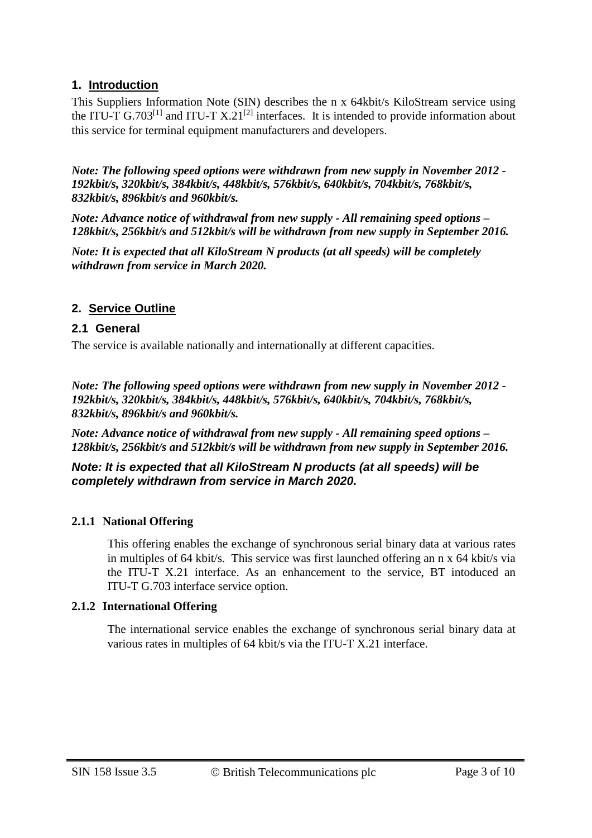# **1. Introduction**

This Suppliers Information Note (SIN) describes the n x 64kbit/s KiloStream service using the ITU-T G.703<sup>[1]</sup> and ITU-T X.21<sup>[2]</sup> interfaces. It is intended to provide information about this service for terminal equipment manufacturers and developers.

*Note: The following speed options were withdrawn from new supply in November 2012 - 192kbit/s, 320kbit/s, 384kbit/s, 448kbit/s, 576kbit/s, 640kbit/s, 704kbit/s, 768kbit/s, 832kbit/s, 896kbit/s and 960kbit/s.*

*Note: Advance notice of withdrawal from new supply - All remaining speed options – 128kbit/s, 256kbit/s and 512kbit/s will be withdrawn from new supply in September 2016.*

*Note: It is expected that all KiloStream N products (at all speeds) will be completely withdrawn from service in March 2020.*

#### **2. Service Outline**

#### **2.1 General**

The service is available nationally and internationally at different capacities.

*Note: The following speed options were withdrawn from new supply in November 2012 - 192kbit/s, 320kbit/s, 384kbit/s, 448kbit/s, 576kbit/s, 640kbit/s, 704kbit/s, 768kbit/s, 832kbit/s, 896kbit/s and 960kbit/s.*

*Note: Advance notice of withdrawal from new supply - All remaining speed options – 128kbit/s, 256kbit/s and 512kbit/s will be withdrawn from new supply in September 2016.*

*Note: It is expected that all KiloStream N products (at all speeds) will be completely withdrawn from service in March 2020.*

#### **2.1.1 National Offering**

This offering enables the exchange of synchronous serial binary data at various rates in multiples of 64 kbit/s. This service was first launched offering an n x 64 kbit/s via the ITU-T X.21 interface. As an enhancement to the service, BT intoduced an ITU-T G.703 interface service option.

#### **2.1.2 International Offering**

The international service enables the exchange of synchronous serial binary data at various rates in multiples of 64 kbit/s via the ITU-T X.21 interface.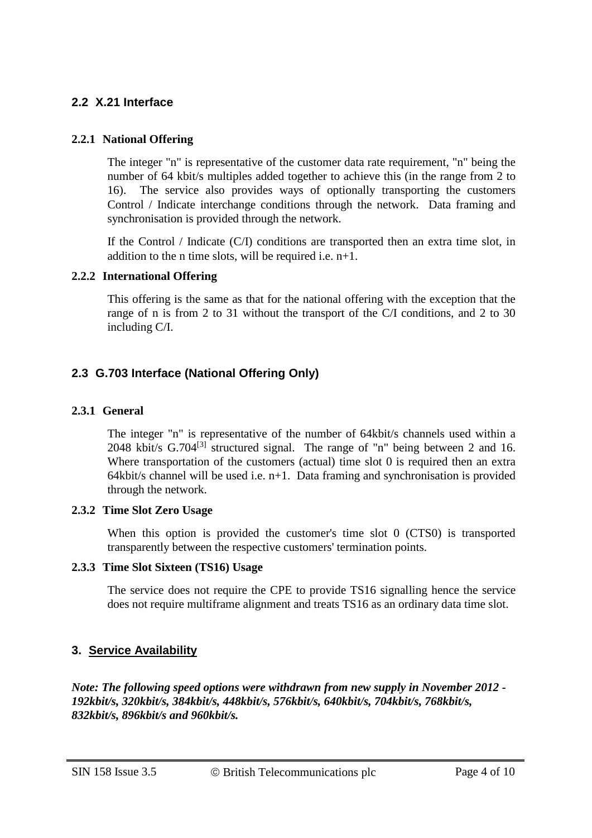#### **2.2 X.21 Interface**

#### **2.2.1 National Offering**

The integer "n" is representative of the customer data rate requirement, "n" being the number of 64 kbit/s multiples added together to achieve this (in the range from 2 to 16). The service also provides ways of optionally transporting the customers Control / Indicate interchange conditions through the network. Data framing and synchronisation is provided through the network.

If the Control / Indicate (C/I) conditions are transported then an extra time slot, in addition to the n time slots, will be required i.e.  $n+1$ .

#### **2.2.2 International Offering**

This offering is the same as that for the national offering with the exception that the range of n is from 2 to 31 without the transport of the C/I conditions, and 2 to 30 including C/I.

### **2.3 G.703 Interface (National Offering Only)**

#### **2.3.1 General**

The integer "n" is representative of the number of 64kbit/s channels used within a 2048 kbit/s  $G.704^{[3]}$  structured signal. The range of "n" being between 2 and 16. Where transportation of the customers (actual) time slot 0 is required then an extra 64kbit/s channel will be used i.e. n+1. Data framing and synchronisation is provided through the network.

#### **2.3.2 Time Slot Zero Usage**

When this option is provided the customer's time slot 0 (CTS0) is transported transparently between the respective customers' termination points.

#### **2.3.3 Time Slot Sixteen (TS16) Usage**

The service does not require the CPE to provide TS16 signalling hence the service does not require multiframe alignment and treats TS16 as an ordinary data time slot.

# **3. Service Availability**

*Note: The following speed options were withdrawn from new supply in November 2012 - 192kbit/s, 320kbit/s, 384kbit/s, 448kbit/s, 576kbit/s, 640kbit/s, 704kbit/s, 768kbit/s, 832kbit/s, 896kbit/s and 960kbit/s.*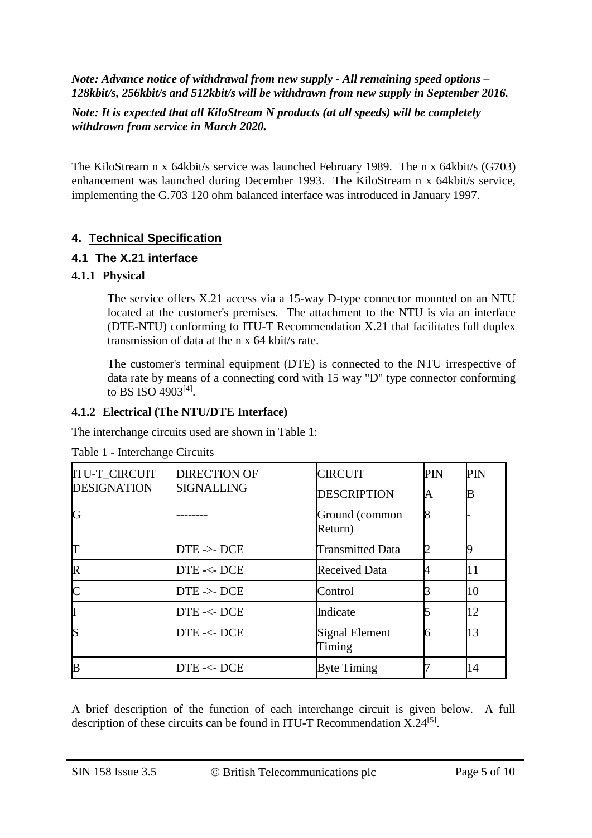*Note: Advance notice of withdrawal from new supply - All remaining speed options – 128kbit/s, 256kbit/s and 512kbit/s will be withdrawn from new supply in September 2016.*

#### *Note: It is expected that all KiloStream N products (at all speeds) will be completely withdrawn from service in March 2020.*

The KiloStream n x 64kbit/s service was launched February 1989. The n x 64kbit/s (G703) enhancement was launched during December 1993. The KiloStream n x 64kbit/s service, implementing the G.703 120 ohm balanced interface was introduced in January 1997.

# **4. Technical Specification**

#### **4.1 The X.21 interface**

#### **4.1.1 Physical**

The service offers X.21 access via a 15-way D-type connector mounted on an NTU located at the customer's premises. The attachment to the NTU is via an interface (DTE-NTU) conforming to ITU-T Recommendation X.21 that facilitates full duplex transmission of data at the n x 64 kbit/s rate.

The customer's terminal equipment (DTE) is connected to the NTU irrespective of data rate by means of a connecting cord with 15 way "D" type connector conforming to BS ISO 4903<sup>[4]</sup>.

#### **4.1.2 Electrical (The NTU/DTE Interface)**

The interchange circuits used are shown in Table 1:

| <b>ITU-T CIRCUIT</b> | <b>DIRECTION OF</b>   | <b>CIRCUIT</b>            | PIN | PIN |
|----------------------|-----------------------|---------------------------|-----|-----|
| <b>DESIGNATION</b>   | <b>SIGNALLING</b>     | <b>DESCRIPTION</b>        | A   | B   |
| IG                   |                       | Ground (common<br>Return) | 8   |     |
| IT                   | $DTE \rightarrow DCE$ | <b>Transmitted Data</b>   |     |     |
| $\mathbb R$          | DTE-<-DCE             | <b>Received Data</b>      |     |     |
| $\mathsf{C}$         | $DTE \rightarrow DCE$ | Control                   |     | 10  |
| II                   | $DTE - <$ DCE         | Indicate                  |     | 12  |
| lS                   | DTE-<-DCE             | Signal Element<br>Timing  |     | 13  |
| B                    | DTE-<-DCE             | <b>Byte Timing</b>        |     | 14  |

#### Table 1 - Interchange Circuits

A brief description of the function of each interchange circuit is given below. A full description of these circuits can be found in ITU-T Recommendation  $X.24^{[5]}$ .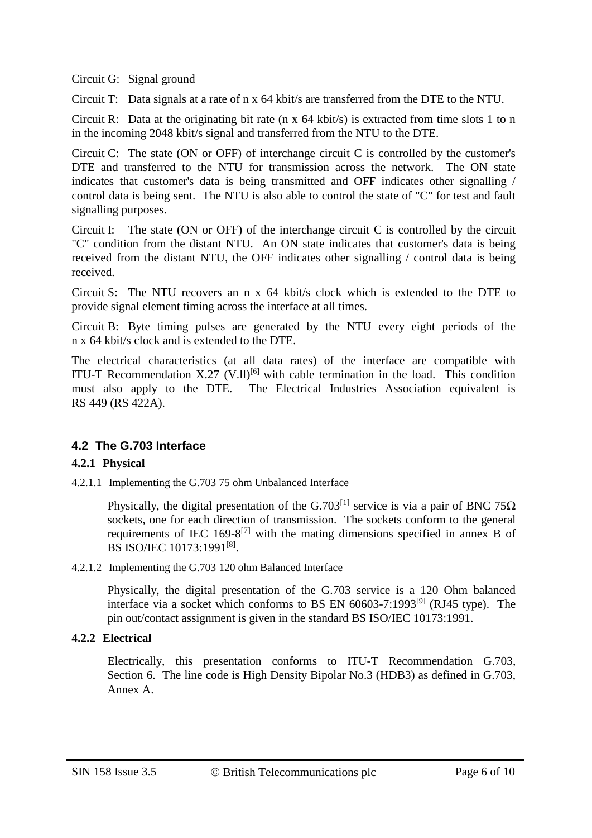Circuit G: Signal ground

Circuit T: Data signals at a rate of n x 64 kbit/s are transferred from the DTE to the NTU.

Circuit R: Data at the originating bit rate ( $n \times 64$  kbit/s) is extracted from time slots 1 to n in the incoming 2048 kbit/s signal and transferred from the NTU to the DTE.

Circuit C: The state (ON or OFF) of interchange circuit C is controlled by the customer's DTE and transferred to the NTU for transmission across the network. The ON state indicates that customer's data is being transmitted and OFF indicates other signalling / control data is being sent. The NTU is also able to control the state of "C" for test and fault signalling purposes.

Circuit I: The state (ON or OFF) of the interchange circuit C is controlled by the circuit "C" condition from the distant NTU. An ON state indicates that customer's data is being received from the distant NTU, the OFF indicates other signalling / control data is being received.

Circuit S: The NTU recovers an n x 64 kbit/s clock which is extended to the DTE to provide signal element timing across the interface at all times.

Circuit B: Byte timing pulses are generated by the NTU every eight periods of the n x 64 kbit/s clock and is extended to the DTE.

The electrical characteristics (at all data rates) of the interface are compatible with ITU-T Recommendation X.27 (V.II)<sup>[6]</sup> with cable termination in the load. This condition must also apply to the DTE. The Electrical Industries Association equivalent is RS 449 (RS 422A).

# **4.2 The G.703 Interface**

#### **4.2.1 Physical**

4.2.1.1 Implementing the G.703 75 ohm Unbalanced Interface

Physically, the digital presentation of the G.703<sup>[1]</sup> service is via a pair of BNC 75 $\Omega$ sockets, one for each direction of transmission. The sockets conform to the general requirements of IEC  $169-8^{[7]}$  with the mating dimensions specified in annex B of BS ISO/IEC 10173:1991<sup>[8]</sup>.

#### 4.2.1.2 Implementing the G.703 120 ohm Balanced Interface

Physically, the digital presentation of the G.703 service is a 120 Ohm balanced interface via a socket which conforms to BS EN  $60603-7:1993^{[9]}$  (RJ45 type). The pin out/contact assignment is given in the standard BS ISO/IEC 10173:1991.

#### **4.2.2 Electrical**

Electrically, this presentation conforms to ITU-T Recommendation G.703, Section 6. The line code is High Density Bipolar No.3 (HDB3) as defined in G.703, Annex A.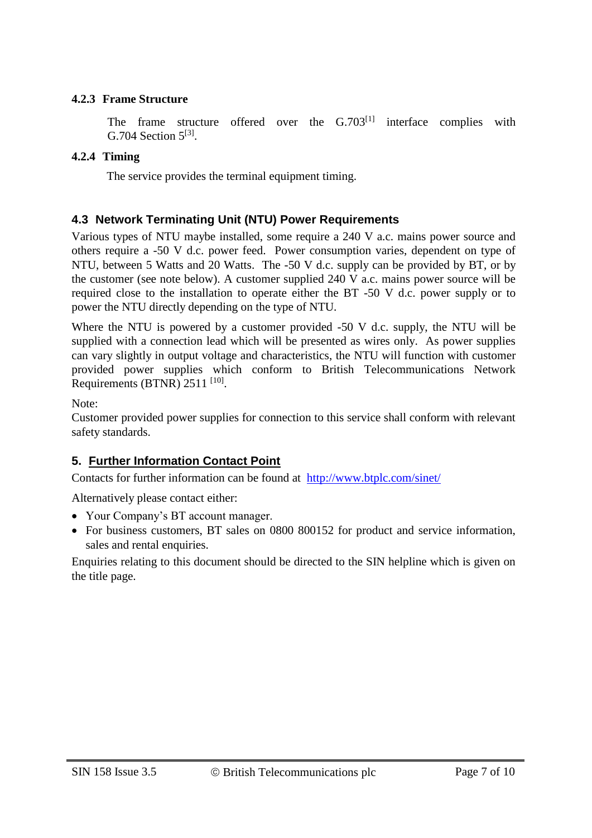#### **4.2.3 Frame Structure**

The frame structure offered over the  $G.703^{[1]}$  interface complies with G.704 Section  $5^{[3]}$ .

# **4.2.4 Timing**

The service provides the terminal equipment timing.

# **4.3 Network Terminating Unit (NTU) Power Requirements**

Various types of NTU maybe installed, some require a 240 V a.c. mains power source and others require a -50 V d.c. power feed. Power consumption varies, dependent on type of NTU, between 5 Watts and 20 Watts. The -50 V d.c. supply can be provided by BT, or by the customer (see note below). A customer supplied 240 V a.c. mains power source will be required close to the installation to operate either the BT -50 V d.c. power supply or to power the NTU directly depending on the type of NTU.

Where the NTU is powered by a customer provided -50 V d.c. supply, the NTU will be supplied with a connection lead which will be presented as wires only. As power supplies can vary slightly in output voltage and characteristics, the NTU will function with customer provided power supplies which conform to British Telecommunications Network Requirements (BTNR)  $2511$ <sup>[10]</sup>.

Note:

Customer provided power supplies for connection to this service shall conform with relevant safety standards.

# **5. Further Information Contact Point**

Contacts for further information can be found at <http://www.btplc.com/sinet/>

Alternatively please contact either:

- Your Company's BT account manager.
- For business customers, BT sales on 0800 800152 for product and service information, sales and rental enquiries.

Enquiries relating to this document should be directed to the SIN helpline which is given on the title page.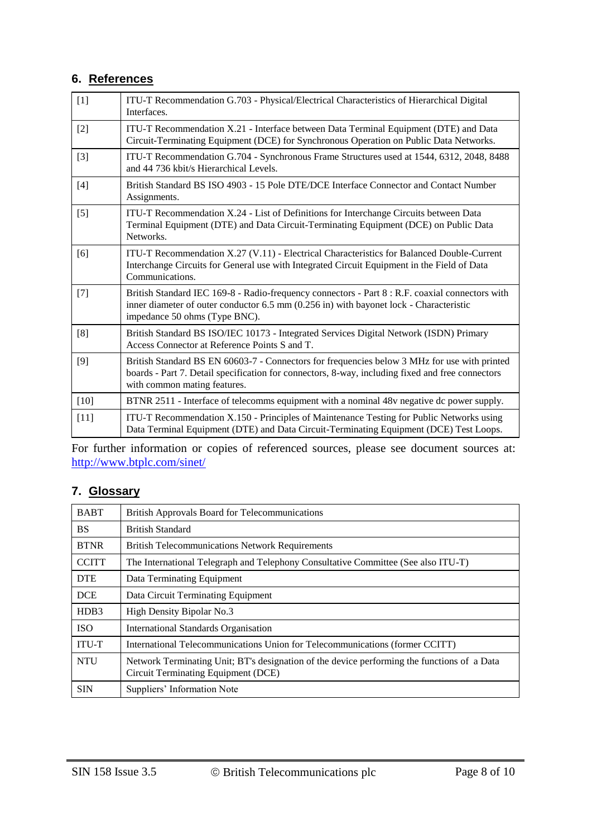## **6. References**

| $[1]$             | ITU-T Recommendation G.703 - Physical/Electrical Characteristics of Hierarchical Digital<br>Interfaces.                                                                                                                          |
|-------------------|----------------------------------------------------------------------------------------------------------------------------------------------------------------------------------------------------------------------------------|
| $[2]$             | ITU-T Recommendation X.21 - Interface between Data Terminal Equipment (DTE) and Data<br>Circuit-Terminating Equipment (DCE) for Synchronous Operation on Public Data Networks.                                                   |
| $[3]$             | ITU-T Recommendation G.704 - Synchronous Frame Structures used at 1544, 6312, 2048, 8488<br>and 44 736 kbit/s Hierarchical Levels.                                                                                               |
| $[4]$             | British Standard BS ISO 4903 - 15 Pole DTE/DCE Interface Connector and Contact Number<br>Assignments.                                                                                                                            |
| $\lceil 5 \rceil$ | ITU-T Recommendation X.24 - List of Definitions for Interchange Circuits between Data<br>Terminal Equipment (DTE) and Data Circuit-Terminating Equipment (DCE) on Public Data<br>Networks.                                       |
| [6]               | ITU-T Recommendation X.27 (V.11) - Electrical Characteristics for Balanced Double-Current<br>Interchange Circuits for General use with Integrated Circuit Equipment in the Field of Data<br>Communications.                      |
| $[7]$             | British Standard IEC 169-8 - Radio-frequency connectors - Part 8 : R.F. coaxial connectors with<br>inner diameter of outer conductor 6.5 mm (0.256 in) with bayonet lock - Characteristic<br>impedance 50 ohms (Type BNC).       |
| [8]               | British Standard BS ISO/IEC 10173 - Integrated Services Digital Network (ISDN) Primary<br>Access Connector at Reference Points S and T.                                                                                          |
| $[9]$             | British Standard BS EN 60603-7 - Connectors for frequencies below 3 MHz for use with printed<br>boards - Part 7. Detail specification for connectors, 8-way, including fixed and free connectors<br>with common mating features. |
| $[10]$            | BTNR 2511 - Interface of telecomms equipment with a nominal 48v negative dc power supply.                                                                                                                                        |
| $[11]$            | ITU-T Recommendation X.150 - Principles of Maintenance Testing for Public Networks using<br>Data Terminal Equipment (DTE) and Data Circuit-Terminating Equipment (DCE) Test Loops.                                               |

For further information or copies of referenced sources, please see document sources at: <http://www.btplc.com/sinet/>

# **7. Glossary**

| <b>BABT</b>  | <b>British Approvals Board for Telecommunications</b>                                                                              |  |  |
|--------------|------------------------------------------------------------------------------------------------------------------------------------|--|--|
| <b>BS</b>    | <b>British Standard</b>                                                                                                            |  |  |
| <b>BTNR</b>  | <b>British Telecommunications Network Requirements</b>                                                                             |  |  |
| <b>CCITT</b> | The International Telegraph and Telephony Consultative Committee (See also ITU-T)                                                  |  |  |
| <b>DTE</b>   | Data Terminating Equipment                                                                                                         |  |  |
| <b>DCE</b>   | Data Circuit Terminating Equipment                                                                                                 |  |  |
| HDB3         | High Density Bipolar No.3                                                                                                          |  |  |
| <b>ISO</b>   | <b>International Standards Organisation</b>                                                                                        |  |  |
| <b>ITU-T</b> | International Telecommunications Union for Telecommunications (former CCITT)                                                       |  |  |
| <b>NTU</b>   | Network Terminating Unit; BT's designation of the device performing the functions of a Data<br>Circuit Terminating Equipment (DCE) |  |  |
| <b>SIN</b>   | Suppliers' Information Note                                                                                                        |  |  |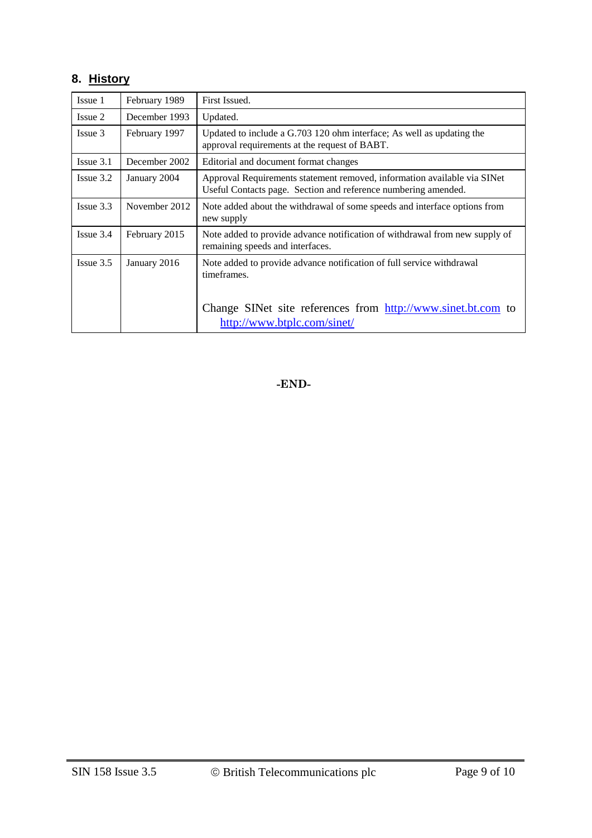# **8. History**

| Issue 1        | February 1989 | First Issued.                                                                                                                              |
|----------------|---------------|--------------------------------------------------------------------------------------------------------------------------------------------|
| Issue 2        | December 1993 | Updated.                                                                                                                                   |
| Issue 3        | February 1997 | Updated to include a G.703 120 ohm interface; As well as updating the<br>approval requirements at the request of BABT.                     |
| $I$ ssue $3.1$ | December 2002 | Editorial and document format changes                                                                                                      |
| $I$ ssue $3.2$ | January 2004  | Approval Requirements statement removed, information available via SINet<br>Useful Contacts page. Section and reference numbering amended. |
| Issue 3.3      | November 2012 | Note added about the withdrawal of some speeds and interface options from<br>new supply                                                    |
| $I$ ssue $3.4$ | February 2015 | Note added to provide advance notification of withdrawal from new supply of<br>remaining speeds and interfaces.                            |
| $I$ ssue $3.5$ | January 2016  | Note added to provide advance notification of full service withdrawal<br>timeframes.                                                       |
|                |               | Change SINet site references from http://www.sinet.bt.com to<br>http://www.btplc.com/sinet/                                                |

**-END-**